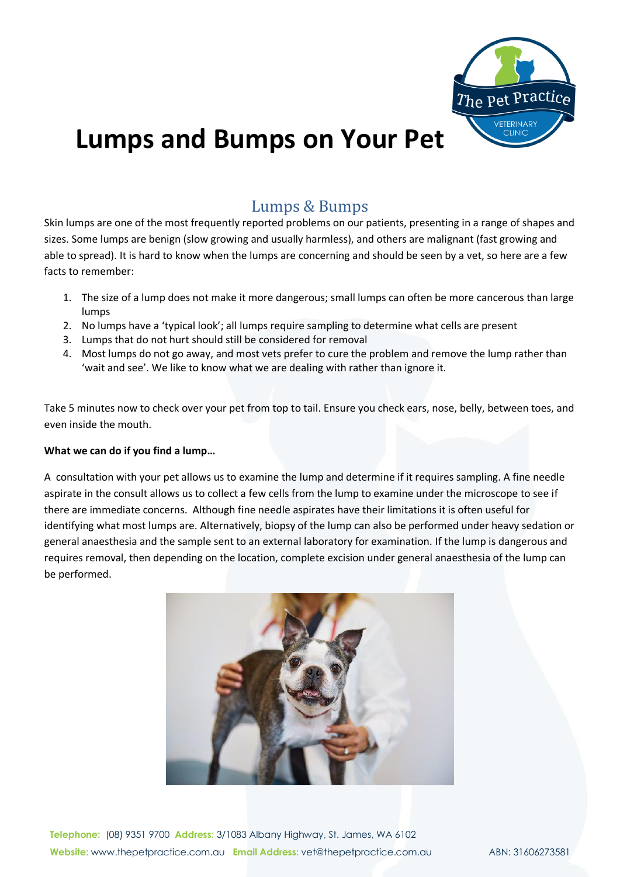

# **Lumps and Bumps on Your Pet**

# Lumps & Bumps

Skin lumps are one of the most frequently reported problems on our patients, presenting in a range of shapes and sizes. Some lumps are benign (slow growing and usually harmless), and others are malignant (fast growing and able to spread). It is hard to know when the lumps are concerning and should be seen by a vet, so here are a few facts to remember:

- 1. The size of a lump does not make it more dangerous; small lumps can often be more cancerous than large lumps
- 2. No lumps have a 'typical look'; all lumps require sampling to determine what cells are present
- 3. Lumps that do not hurt should still be considered for removal
- 4. Most lumps do not go away, and most vets prefer to cure the problem and remove the lump rather than 'wait and see'. We like to know what we are dealing with rather than ignore it.

Take 5 minutes now to check over your pet from top to tail. Ensure you check ears, nose, belly, between toes, and even inside the mouth.

#### **What we can do if you find a lump…**

A consultation with your pet allows us to examine the lump and determine if it requires sampling. A fine needle aspirate in the consult allows us to collect a few cells from the lump to examine under the microscope to see if there are immediate concerns. Although fine needle aspirates have their limitations it is often useful for identifying what most lumps are. Alternatively, biopsy of the lump can also be performed under heavy sedation or general anaesthesia and the sample sent to an external laboratory for examination. If the lump is dangerous and requires removal, then depending on the location, complete excision under general anaesthesia of the lump can be performed.



**Telephone:** (08) 9351 9700 **Address:** 3/1083 Albany Highway, St. James, WA 6102 **Website:** www.thepetpractice.com.au **Email Address:** vet@thepetpractice.com.au ABN: 31606273581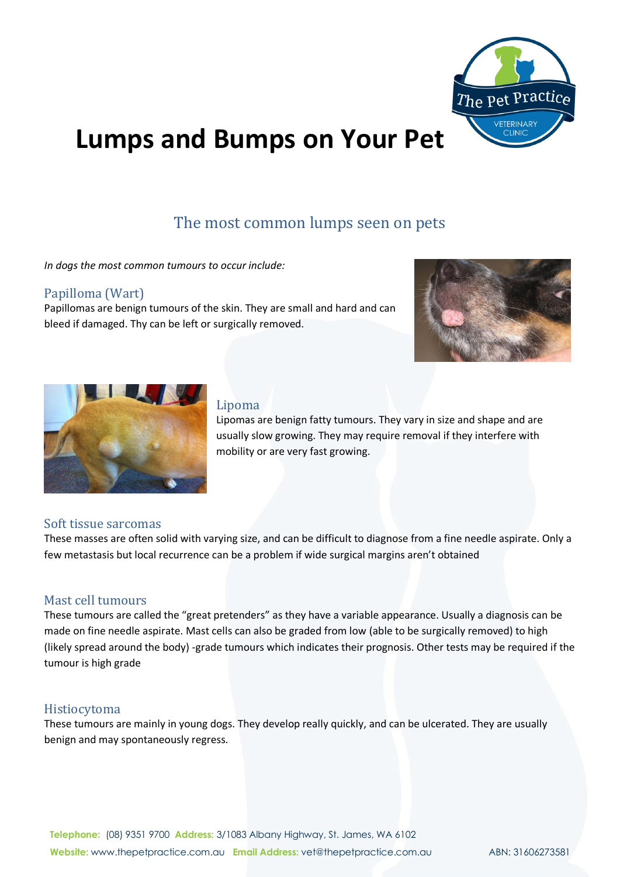

# **Lumps and Bumps on Your Pet**

# The most common lumps seen on pets

*In dogs the most common tumours to occur include:*

## Papilloma (Wart)

Papillomas are benign tumours of the skin. They are small and hard and can bleed if damaged. Thy can be left or surgically removed.





# Lipoma

Lipomas are benign fatty tumours. They vary in size and shape and are usually slow growing. They may require removal if they interfere with mobility or are very fast growing.

#### Soft tissue sarcomas

These masses are often solid with varying size, and can be difficult to diagnose from a fine needle aspirate. Only a few metastasis but local recurrence can be a problem if wide surgical margins aren't obtained

## Mast cell tumours

These tumours are called the "great pretenders" as they have a variable appearance. Usually a diagnosis can be made on fine needle aspirate. Mast cells can also be graded from low (able to be surgically removed) to high (likely spread around the body) -grade tumours which indicates their prognosis. Other tests may be required if the tumour is high grade

#### Histiocytoma

These tumours are mainly in young dogs. They develop really quickly, and can be ulcerated. They are usually benign and may spontaneously regress.